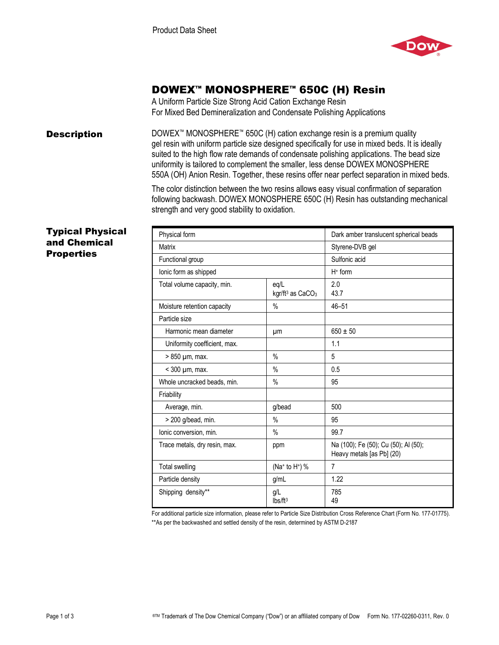

# DOWEX™ MONOSPHERE™ 650C (H) Resin

A Uniform Particle Size Strong Acid Cation Exchange Resin For Mixed Bed Demineralization and Condensate Polishing Applications

**Description** DOWEX<sup>™</sup> MONOSPHERE<sup>™</sup> 650C (H) cation exchange resin is a premium quality gel resin with uniform particle size designed specifically for use in mixed beds. It is ideally suited to the high flow rate demands of condensate polishing applications. The bead size uniformity is tailored to complement the smaller, less dense DOWEX MONOSPHERE 550A (OH) Anion Resin. Together, these resins offer near perfect separation in mixed beds.

> The color distinction between the two resins allows easy visual confirmation of separation following backwash. DOWEX MONOSPHERE 650C (H) Resin has outstanding mechanical strength and very good stability to oxidation.

### Typical Physical and Chemical **Properties**

| Physical form                 |                                                  | Dark amber translucent spherical beads                            |
|-------------------------------|--------------------------------------------------|-------------------------------------------------------------------|
| Matrix                        |                                                  | Styrene-DVB gel                                                   |
| Functional group              |                                                  | Sulfonic acid                                                     |
| lonic form as shipped         |                                                  | $H+$ form                                                         |
| Total volume capacity, min.   | eq/L<br>kgr/ft <sup>3</sup> as CaCO <sub>3</sub> | 2.0<br>43.7                                                       |
| Moisture retention capacity   | $\frac{0}{0}$                                    | $46 - 51$                                                         |
| Particle size                 |                                                  |                                                                   |
| Harmonic mean diameter        | μm                                               | $650 \pm 50$                                                      |
| Uniformity coefficient, max.  |                                                  | 1.1                                                               |
| > 850 µm, max.                | $\%$                                             | 5                                                                 |
| $<$ 300 $\mu$ m, max.         | $\%$                                             | 0.5                                                               |
| Whole uncracked beads, min.   | $\%$                                             | 95                                                                |
| Friability                    |                                                  |                                                                   |
| Average, min.                 | g/bead                                           | 500                                                               |
| > 200 g/bead, min.            | $\frac{0}{0}$                                    | 95                                                                |
| Ionic conversion, min.        | $\frac{0}{0}$                                    | 99.7                                                              |
| Trace metals, dry resin, max. | ppm                                              | Na (100); Fe (50); Cu (50); Al (50);<br>Heavy metals [as Pb] (20) |
| <b>Total swelling</b>         | (Na+ to H+) %                                    | $\overline{7}$                                                    |
| Particle density              | g/ml                                             | 1.22                                                              |
| Shipping density**            | g/L<br>Ibs/ft <sup>3</sup>                       | 785<br>49                                                         |

For additional particle size information, please refer to Particle Size Distribution Cross Reference Chart (Form No. 177-01775). \*\*As per the backwashed and settled density of the resin, determined by ASTM D-2187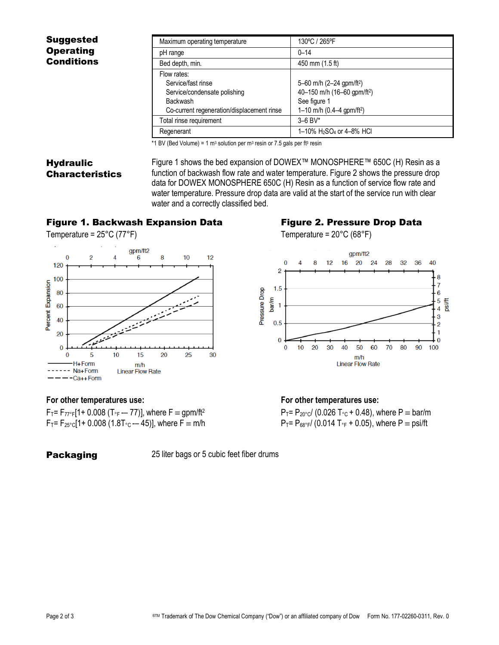### Suggested **Operating** Conditions

| Maximum operating temperature                                                                                                      | 130°C / 265°F                                                                                                                              |
|------------------------------------------------------------------------------------------------------------------------------------|--------------------------------------------------------------------------------------------------------------------------------------------|
| pH range                                                                                                                           | $0 - 14$                                                                                                                                   |
| Bed depth, min.                                                                                                                    | 450 mm (1.5 ft)                                                                                                                            |
| Flow rates:<br>Service/fast rinse<br>Service/condensate polishing<br><b>Backwash</b><br>Co-current regeneration/displacement rinse | 5-60 m/h (2-24 gpm/ft <sup>2</sup> )<br>40-150 m/h (16-60 gpm/ft <sup>2</sup> )<br>See figure 1<br>1–10 m/h $(0.4–4$ gpm/ft <sup>2</sup> ) |
| Total rinse requirement                                                                                                            | $3 - 6$ BV*                                                                                                                                |
| Regenerant                                                                                                                         | 1-10% H <sub>2</sub> SO <sub>4</sub> or 4-8% HCI                                                                                           |

 $*1$  BV (Bed Volume) = 1 m<sup>3</sup> solution per m<sup>3</sup> resin or 7.5 gals per ft<sup>3</sup> resin

## **Hydraulic** Characteristics

Figure 1 shows the bed expansion of DOWEX™ MONOSPHERE™ 650C (H) Resin as a function of backwash flow rate and water temperature. Figure 2 shows the pressure drop data for DOWEX MONOSPHERE 650C (H) Resin as a function of service flow rate and water temperature. Pressure drop data are valid at the start of the service run with clear water and a correctly classified bed.

### Figure 1. Backwash Expansion Data Figure 2. Pressure Drop Data

Temperature =  $25^{\circ}$ C (77 $^{\circ}$ F) Temperature =  $20^{\circ}$ C (68 $^{\circ}$ F)





 $F_T = F_{77°F}$ [1+ 0.008 (T<sub>°F</sub> -- 77)], where  $F = gpm/ft^2$  P<sub>T</sub>= P<sub>20°C</sub>/ (0.026 T<sub>°C</sub> + 0.48), where P = bar/m  $F_T = F_{25\degree}C[1 + 0.008 (1.8T_{\degree}C - 45)],$  where  $F \equiv m/h$   $P_T = P_{68\degree}F/(0.014 T_{\degree} + 0.05),$  where  $P \equiv$  psi/ft

**Packaging** 25 liter bags or 5 cubic feet fiber drums

### **For other temperatures use: For other temperatures use:**